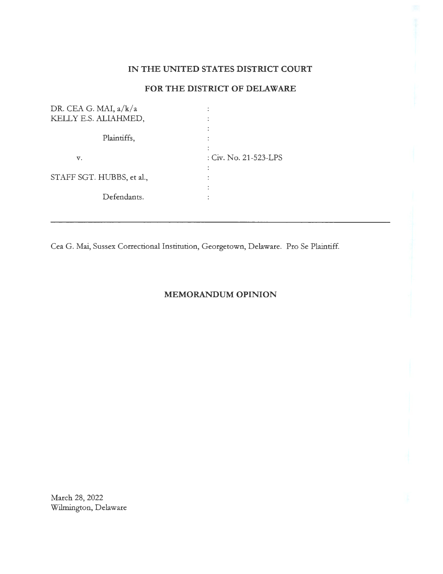## **IN THE UNITED STATES DISTRICT COURT**

## **FOR THE DISTRICT OF DELAWARE**

| DR. CEA G. MAI, a/k/a     |                         |
|---------------------------|-------------------------|
| KELLY E.S. ALIAHMED,      |                         |
|                           |                         |
| Plaintiffs,               |                         |
|                           |                         |
| v.                        | : $Civ.$ No. 21-523-LPS |
|                           |                         |
| STAFF SGT. HUBBS, et al., |                         |
|                           |                         |
| Defendants.               |                         |
|                           |                         |
|                           |                         |

Cea G. Mai, Sussex Correctional Institution, Georgetown, Delaware. Pro Se Plaintiff.

# **MEMORANDUM OPINION**

March 28, 2022 Wilmington, Delaware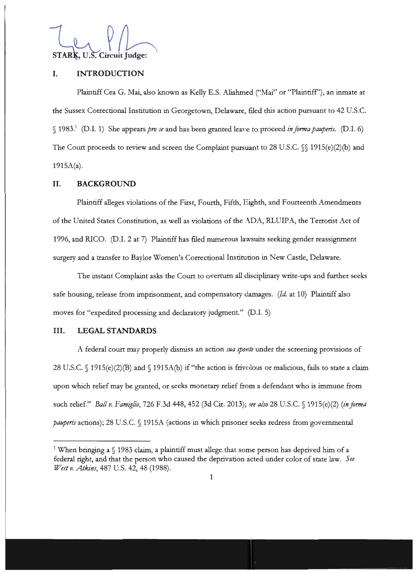STARK, U.S. Circuit Judge:

### **I. INTRODUCTION**

Plaintiff Cea G. Mai, also known as Kelly E.S. Aliahmed ("Mai" or "Plaintiff''), an inmate at the Sussex Correctional Institution in Georgetown, Delaware, filed this action pursuant to 42 U.S.C. § 1983.<sup>1</sup> (D.I. 1) She appears *pro se* and has been granted leave to proceed *in forma pauperis*. (D.I. 6) The Court proceeds to review and screen the Complaint pursuant to 28 U.S.C. §§ 1915(e)(2)(b) and  $1915A(a)$ .

#### **II. BACKGROUND**

Plaintiff alleges violations of the First, Fourth, Fifth, Eighth, and Fourteenth Amendments of the United States Constitution, as well as violations of the ADA, RLUIPA, the Terrorist Act of 1996, and RICO. (D.I. 2 at 7) Plaintiff has filed numerous lawsuits seeking gender reassignment surgery and a transfer to Baylor Women's Correctional Institution in New Castle, Delaware.

The instant Complaint asks the Court to overturn all disciplinary write-ups and further seeks safe housing, release from imprisonment, and compensatory damages. *(Id.* at 10) Plaintiff also moves for "expedited processing and declaratory judgment." (D.I. 5)

#### **III. LEGAL STANDARDS**

A federal court may properly dismiss an action *sua sp01 te* under the screening provisions of 28 U.S.C. § 1915(e)(2)(B) and § 1915A(b) if "the action is frivolous or malicious, fails to state a claim upon which relief may be granted, or seeks monetary relief from a defendant who is immune from such relief." *Ball v. Famiglio,* 726 F.3d 448, 452 (3d Cir. 2013); *ree also* 28 U.S.C. § 1915( e)(2) *(in jorma pauperis* actions); 28 U.S.C. § 1915A (actions in which prisoner seeks redress from governmental

 $^1$  When bringing a  $\S$  1983 claim, a plaintiff must allege that some person has deprived him of a federal right, and that the person who caused the deprivation acted under color of state law. *See West v. Atkins,* 487 U.S. 42, 48 (1988).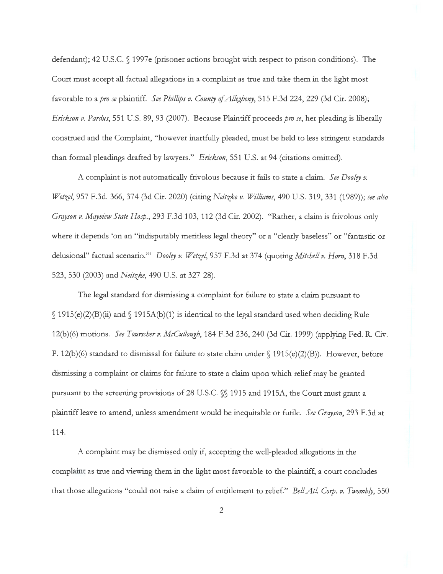defendant); 42 U.S.C. § 1997e (prisoner actions brought with respect to prison conditions). The Court must accept all factual allegations in a complaint as true and take them in the light most favorable to a *pro se* plaintiff. *See Phillips v. Counry of Allegheny,* 515 F.3d 224, 229 (3d Cir. 2008); *Erickson v. Pardus,* 551 U.S. 89, 93 (2007). Because Plaintiff proceeds *pro se,* her pleading is liberally construed and the Complaint, "however inartfully pleaded, must be held to less stringent standards than formal pleadings drafted by lawyers." *E rickson,* 551 U.S. at 94 (citations omitted).

A complaint is not automatically frivolous because it fails to state a claim. *See Dooley v. Wetzel,* 957 F.3d. 366,374 (3d Cir. 2020) (citing *Neitzke v. Williams,* 490 U.S. 319, 331 (1989)); *see also Grqyson v. Mqyview State Hosp.,* 293 F.3d 103, 112 (3d Cir. 2002). "Rather, a claim is frivolous only where it depends 'on an "indisputably meritless legal theory" or a "clearly baseless" or "fantastic or delusional" factual scenario."' *Dooley v. Wetzel,* 957 F.3d at 374 (quoting *Mitchell v. Horn,* 318 F.3d 523, 530 (2003) and *Neitzke,* 490 U.S. at 327-28).

The legal standard for dismissing a complaint for failure to state a claim pursuant to  $\{(1915(e)(2)(B)(ii) \text{ and } \{(1915A(b)(1)) \text{ is identical to the legal standard used when deciding Rule}\}$ 12(b)(6) motions. *See Tourscher v. McCullough,* 184 F.3d 236, 240 (3d Cir. 1999) (applying Fed. R. Civ. P. 12(b)(6) standard to dismissal for failure to state claim under § 1915(e)(2)(B)). However, before dismissing a complaint or claims for failure to state a claim upon which relief may be granted pursuant to the screening provisions of 28 U.S.C. §§ 1915 and 1915A, the Court must grant a plaintiff leave to amend, unless amendment would be inequitable or futile. *See Grqyson,* 293 F.3d at 114.

A complaint may be dismissed only if, accepting the well-pleaded allegations in the complaint as true and viewing them in the light most favorable to the plaintiff, a court concludes that those allegations "could not raise a claim of entitlement to relief." *Bell Atl. Corp. v. Twombly*, 550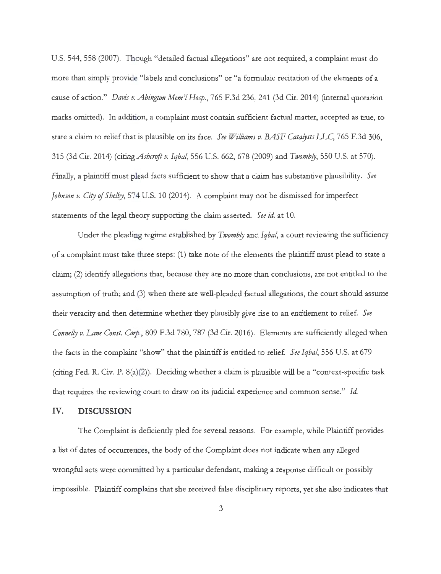U.S. 544, 558 (2007). Though "detailed factual allegations" are not required, a complaint must do more than simply provide "labels and conclusions" or "a formulaic recitation of the elements of a cause of action." *Davis v. Abington Mem'I Hosp.,* 765 F.3d 236, 241 (3d Cir. 2014) (internal quotation marks omitted). In addition, a complaint must contain sufficient factual matter, accepted as true, to state a claim to relief that is plausible on its face. *See Williams v. BASF Catafysts* LLC, 765 F.3d 306, 315 (3d Cir. 2014) (citing *Ashcroft v. Iqbal,* 556 U.S. 662, 678 (2009) and *Twombfy,* 550 U.S. at 570). Finally, a plaintiff must plead facts sufficient to show that a claim has substantive plausibility. See *Johnson v. City of Shelby*, 574 U.S. 10 (2014). A complaint may not be dismissed for imperfect statements of the legal theory supporting the claim asserted. *See id.* at 10.

Under the pleading regime established by *Twombly* and *Iqbal*, a court reviewing the sufficiency of a complaint must take three steps: (1) take note of the elements the plaintiff must plead to state a claim; (2) identify allegations that, because they are no more than conclusions, are not entitled to the assumption of truth; and (3) when there are well-pleaded factual allegations, the court should assume their veracity and then determine whether they plausibly give rise to an entitlement to relief. See *Connelfy v. Lane Const. Corp.,* 809 F.3d 780, 787 (3d Cir. 2016). Elements are sufficiently alleged when the facts in the complaint "show" that the plaintiff is entitled to relief. *See Iqbal,* 556 U.S. at 679 (citing Fed. R. Civ. P. 8(a)(2)). Deciding whether a claim is plausible will be a "context-specific task that requires the reviewing court to draw on its judicial experience and common sense." *Id.* 

#### IV. **DISCUSSION**

The Complaint is deficiently pled for several reasons. For example, while Plaintiff provides a list of dates of occurrences, the body of the Complaint does not indicate when any alleged wrongful acts were committed by a particular defendant, making a response difficult or possibly impossible. Plaintiff complains that she received false disciplinary reports, yet she also indicates that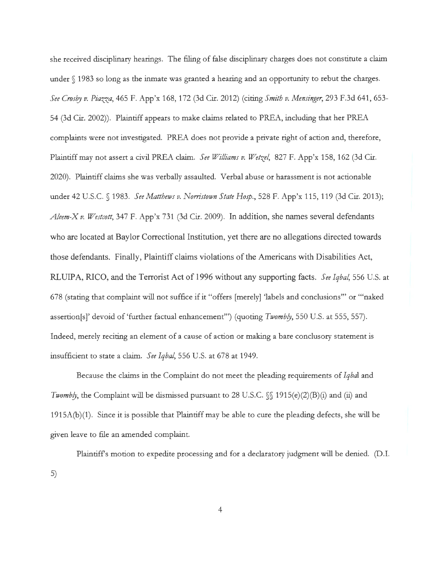she received disciplinary hearings. The filing of false disciplinary charges does not constitute a claim under  $\S$  1983 so long as the inmate was granted a hearing and an opportunity to rebut the charges. *See Crosby v. Piazza,* 465 F. App'x 168, 172 (3d Cir. 2012) (citing *Smith v. Mensinger,* 293 F.3d 641, 653- 54 (3d Cir. 2002)). Plaintiff appears to make claims related to PREA, including that her PREA complaints were not investigated. PREA does not provide a private right of action and, therefore, Plaintiff may not assert a civil PREA claim. *See Williams v. Wetzel,* 827 F. App'x 158, 162 (3d Cir. 2020). Plaintiff claims she was verbally assaulted. Verbal abuse or harassment is not actionable under 42 U.S.C. § 1983. *See Matthews v. Norristown State Hosp.,* 528 F. App'x 115, 119 (3d Cir. 2013); *Aleem-Xv. Westcott,* 347 F. App'x 731 (3d Cir. 2009). In addition, she names several defendants who are located at Baylor Correctional Institution, yet there are no allegations directed towards those defendants. Finally, Plaintiff claims violations of the Americans with Disabilities Act, RLUIP A, RICO, and the Terrorist Act of 1996 without any supporting facts. *See Iqbal,* 556 U.S. at 678 (stating that complaint will not suffice if it "offers [merely] 'labels and conclusions"' or '"naked assertion[s]' devoid of 'further factual enhancement"') (quoting *Twomb!J,* 550 U.S. at 555, 557). Indeed, merely reciting an element of a cause of action or making a bare conclusory statement is insufficient to state a claim. *See Iqbal,* 556 U.S. at 678 at 1949.

Because the claims in the Complaint do not meet the pleading requirements of *Iqbal* and *Twombly*, the Complaint will be dismissed pursuant to 28 U.S.C. §§ 1915(e)(2)(B)(i) and (ii) and 1915A(b)(1). Since it is possible that Plaintiff may be able to cure the pleading defects, she will be given leave to file an amended complaint.

Plaintiffs motion to expedite processing and for a declaratory judgment will be denied. (D.I. 5)

4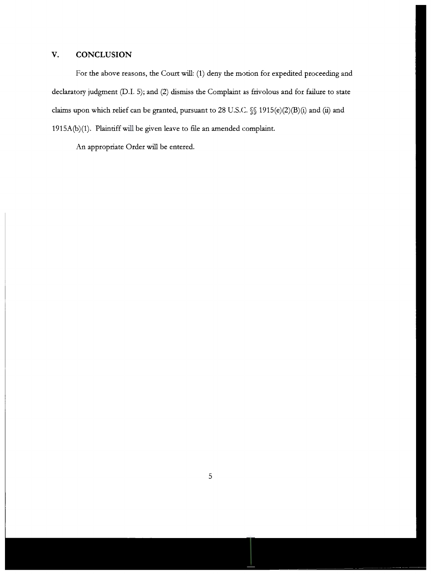# **V. CONCLUSION**

For the above reasons, the Court will: (1) deny the motion for expedited proceeding and declaratory judgment (D.I. 5); and (2) dismiss the Complaint as frivolous and for failure to state claims upon which relief can be granted, pursuant to 28 U.S.C. §§ 1915(e)(2)(B)(i) and (ii) and 1915A(b)(1). Plaintiff will be given leave to file an amended complaint.

An appropriate Order will be entered.